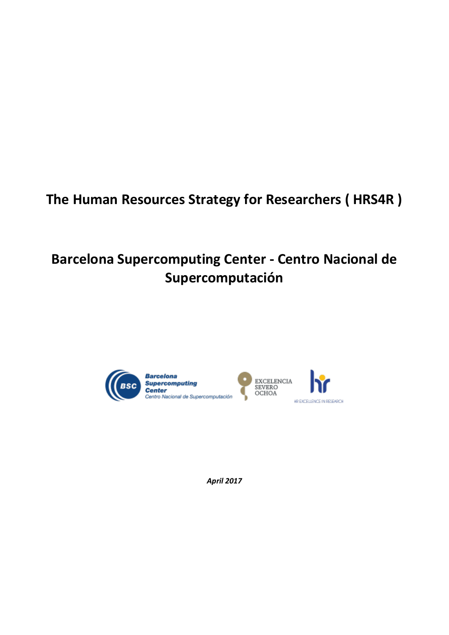# **The Human Resources Strategy for Researchers ( HRS4R )**

# **Barcelona Supercomputing Center - Centro Nacional de Supercomputación**



*April 2017*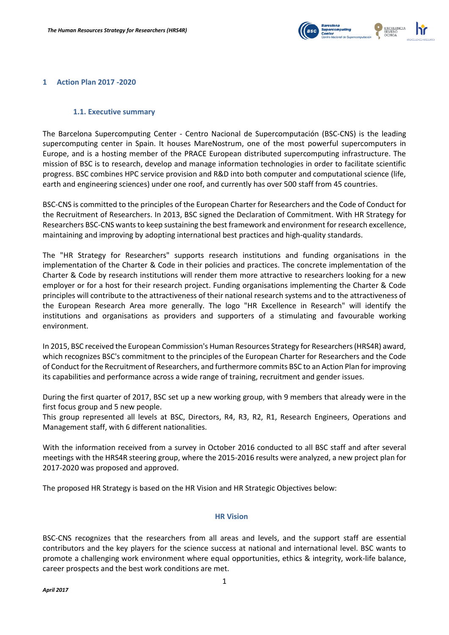

### **1 Action Plan 2017 -2020**

#### **1.1. Executive summary**

The Barcelona Supercomputing Center - Centro Nacional de Supercomputación (BSC-CNS) is the leading supercomputing center in Spain. It houses MareNostrum, one of the most powerful supercomputers in Europe, and is a hosting member of the PRACE European distributed supercomputing infrastructure. The mission of BSC is to research, develop and manage information technologies in order to facilitate scientific progress. BSC combines HPC service provision and R&D into both computer and computational science (life, earth and engineering sciences) under one roof, and currently has over 500 staff from 45 countries.

BSC-CNS is committed to the principles of the European Charter for Researchers and the Code of Conduct for the Recruitment of Researchers. In 2013, BSC signed the Declaration of Commitment. With HR Strategy for Researchers BSC-CNS wants to keep sustaining the best framework and environment for research excellence, maintaining and improving by adopting international best practices and high-quality standards.

The "HR Strategy for Researchers" supports research institutions and funding organisations in the implementation of the Charter & Code in their policies and practices. The concrete implementation of the Charter & Code by research institutions will render them more attractive to researchers looking for a new employer or for a host for their research project. Funding organisations implementing the Charter & Code principles will contribute to the attractiveness of their national research systems and to the attractiveness of the European Research Area more generally. The logo "HR Excellence in Research" will identify the institutions and organisations as providers and supporters of a stimulating and favourable working environment.

In 2015, BSC received the European Commission's Human Resources Strategy for Researchers (HRS4R) award, which recognizes BSC's commitment to the principles of the European Charter for Researchers and the Code of Conduct for the Recruitment of Researchers, and furthermore commits BSC to an Action Plan for improving its capabilities and performance across a wide range of training, recruitment and gender issues.

During the first quarter of 2017, BSC set up a new working group, with 9 members that already were in the first focus group and 5 new people.

This group represented all levels at BSC, Directors, R4, R3, R2, R1, Research Engineers, Operations and Management staff, with 6 different nationalities.

With the information received from a survey in October 2016 conducted to all BSC staff and after several meetings with the HRS4R steering group, where the 2015-2016 results were analyzed, a new project plan for 2017-2020 was proposed and approved.

The proposed HR Strategy is based on the HR Vision and HR Strategic Objectives below:

### **HR Vision**

BSC-CNS recognizes that the researchers from all areas and levels, and the support staff are essential contributors and the key players for the science success at national and international level. BSC wants to promote a challenging work environment where equal opportunities, ethics & integrity, work-life balance, career prospects and the best work conditions are met.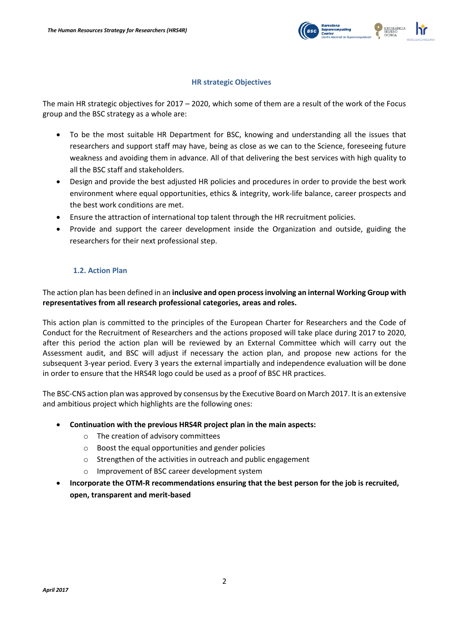

## **HR strategic Objectives**

The main HR strategic objectives for 2017 – 2020, which some of them are a result of the work of the Focus group and the BSC strategy as a whole are:

- To be the most suitable HR Department for BSC, knowing and understanding all the issues that researchers and support staff may have, being as close as we can to the Science, foreseeing future weakness and avoiding them in advance. All of that delivering the best services with high quality to all the BSC staff and stakeholders.
- Design and provide the best adjusted HR policies and procedures in order to provide the best work environment where equal opportunities, ethics & integrity, work-life balance, career prospects and the best work conditions are met.
- Ensure the attraction of international top talent through the HR recruitment policies.
- Provide and support the career development inside the Organization and outside, guiding the researchers for their next professional step.

## **1.2. Action Plan**

The action plan has been defined in an **inclusive and open process involving an internal Working Group with representatives from all research professional categories, areas and roles.** 

This action plan is committed to the principles of the European Charter for Researchers and the Code of Conduct for the Recruitment of Researchers and the actions proposed will take place during 2017 to 2020, after this period the action plan will be reviewed by an External Committee which will carry out the Assessment audit, and BSC will adjust if necessary the action plan, and propose new actions for the subsequent 3-year period. Every 3 years the external impartially and independence evaluation will be done in order to ensure that the HRS4R logo could be used as a proof of BSC HR practices.

The BSC-CNS action plan was approved by consensus by the Executive Board on March 2017. It is an extensive and ambitious project which highlights are the following ones:

- **Continuation with the previous HRS4R project plan in the main aspects:**
	- o The creation of advisory committees
	- o Boost the equal opportunities and gender policies
	- o Strengthen of the activities in outreach and public engagement
	- o Improvement of BSC career development system
- **Incorporate the OTM-R recommendations ensuring that the best person for the job is recruited, open, transparent and merit-based**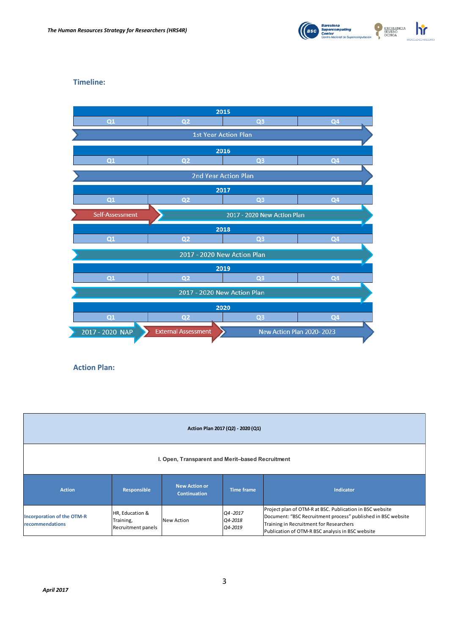

## **Timeline:**



**Action Plan:**

| Action Plan 2017 (Q2) - 2020 (Q1)                    |                                                    |                                             |                               |                                                                                                                                                                                                                         |  |  |  |  |
|------------------------------------------------------|----------------------------------------------------|---------------------------------------------|-------------------------------|-------------------------------------------------------------------------------------------------------------------------------------------------------------------------------------------------------------------------|--|--|--|--|
| I. Open, Transparent and Merit-based Recruitment     |                                                    |                                             |                               |                                                                                                                                                                                                                         |  |  |  |  |
| <b>Action</b>                                        | Responsible                                        | <b>New Action or</b><br><b>Continuation</b> | <b>Time frame</b>             | <b>Indicator</b>                                                                                                                                                                                                        |  |  |  |  |
| <b>Incorporation of the OTM-R</b><br>recommendations | HR, Education &<br>Training,<br>Recruitment panels | New Action                                  | Q4-2017<br>Q4-2018<br>Q4-2019 | Project plan of OTM-R at BSC. Publication in BSC website<br>Document: "BSC Recruitment process" published in BSC website<br>Training in Recruitment for Researchers<br>Publication of OTM-R BSC analysis in BSC website |  |  |  |  |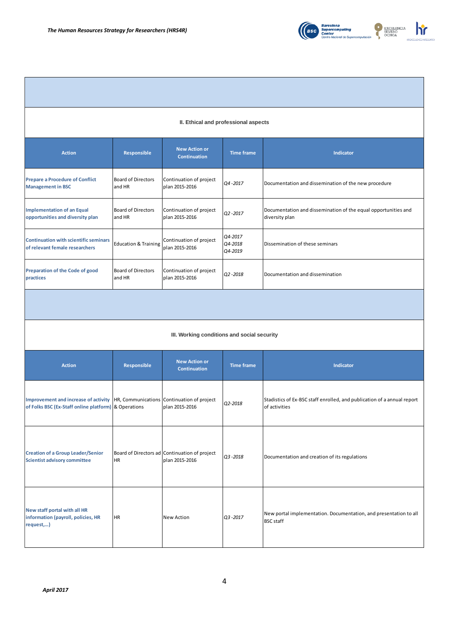

| II. Ethical and professional aspects                                                                |                                     |                                                                 |                               |                                                                                          |  |  |  |  |
|-----------------------------------------------------------------------------------------------------|-------------------------------------|-----------------------------------------------------------------|-------------------------------|------------------------------------------------------------------------------------------|--|--|--|--|
| <b>Action</b>                                                                                       | Responsible                         | <b>New Action or</b><br><b>Continuation</b>                     | <b>Time frame</b>             | Indicator                                                                                |  |  |  |  |
| <b>Prepare a Procedure of Conflict</b><br><b>Management in BSC</b>                                  | <b>Board of Directors</b><br>and HR | Continuation of project<br>plan 2015-2016                       | Q4-2017                       | Documentation and dissemination of the new procedure                                     |  |  |  |  |
| <b>Implementation of an Equal</b><br>opportunities and diversity plan                               | <b>Board of Directors</b><br>and HR | Continuation of project<br>plan 2015-2016                       | Q2-2017                       | Documentation and dissemination of the equal opportunities and<br>diversity plan         |  |  |  |  |
| <b>Continuation with scientific seminars</b><br>of relevant female researchers                      | <b>Education &amp; Training</b>     | Continuation of project<br>plan 2015-2016                       | Q4-2017<br>Q4-2018<br>Q4-2019 | Dissemination of these seminars                                                          |  |  |  |  |
| <b>Preparation of the Code of good</b><br>practices                                                 | <b>Board of Directors</b><br>and HR | Continuation of project<br>plan 2015-2016                       | Q2-2018                       | Documentation and dissemination                                                          |  |  |  |  |
|                                                                                                     |                                     |                                                                 |                               |                                                                                          |  |  |  |  |
| III. Working conditions and social security                                                         |                                     |                                                                 |                               |                                                                                          |  |  |  |  |
| <b>Action</b>                                                                                       | Responsible                         | <b>New Action or</b><br><b>Continuation</b>                     | <b>Time frame</b>             | <b>Indicator</b>                                                                         |  |  |  |  |
| <b>Improvement and increase of activity</b><br>of Folks BSC (Ex-Staff online platform) & Operations |                                     | HR, Communications Continuation of project<br>plan 2015-2016    | Q2-2018                       | Stadistics of Ex-BSC staff enrolled, and publication of a annual report<br>of activities |  |  |  |  |
| <b>Creation of a Group Leader/Senior</b><br><b>Scientist advisory committee</b>                     | <b>HR</b>                           | Board of Directors ad Continuation of project<br>plan 2015-2016 | Q3-2018                       | Documentation and creation of its regulations                                            |  |  |  |  |
| New staff portal with all HR<br>information (payroll, policies, HR<br>request,)                     | <b>HR</b>                           | <b>New Action</b>                                               | Q3-2017                       | New portal implementation. Documentation, and presentation to all<br><b>BSC</b> staff    |  |  |  |  |
|                                                                                                     |                                     |                                                                 | 4                             |                                                                                          |  |  |  |  |